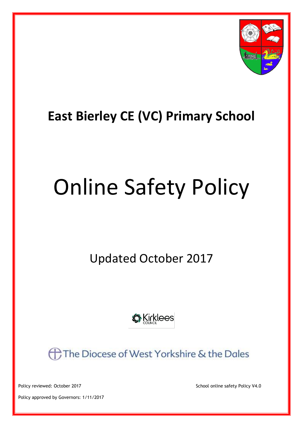

## **East Bierley CE (VC) Primary School**

# Online Safety Policy

Updated October 2017



**AThe Diocese of West Yorkshire & the Dales** 

Policy reviewed: October 2017 **School online safety Policy V4.0** School online safety Policy V4.0

Policy approved by Governors: 1/11/2017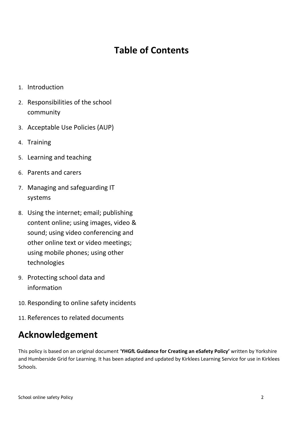### **Table of Contents**

- 1. Introduction
- 2. Responsibilities of the school community
- 3. Acceptable Use Policies (AUP)
- 4. Training
- 5. Learning and teaching
- 6. Parents and carers
- 7. Managing and safeguarding IT systems
- 8. Using the internet; email; publishing content online; using images, video & sound; using video conferencing and other online text or video meetings; using mobile phones; using other technologies
- 9. Protecting school data and information
- 10. Responding to online safety incidents
- 11. References to related documents

### **Acknowledgement**

This policy is based on an original document '**YHGfL Guidance for Creating an eSafety Policy'** written by Yorkshire and Humberside Grid for Learning. It has been adapted and updated by Kirklees Learning Service for use in Kirklees Schools.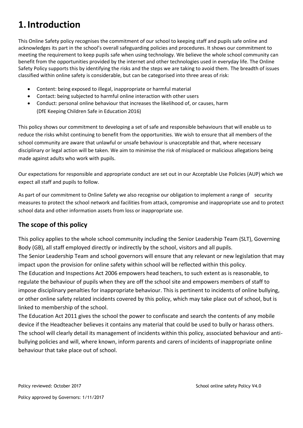### **1.Introduction**

This Online Safety policy recognises the commitment of our school to keeping staff and pupils safe online and acknowledges its part in the school's overall safeguarding policies and procedures. It shows our commitment to meeting the requirement to keep pupils safe when using technology. We believe the whole school community can benefit from the opportunities provided by the internet and other technologies used in everyday life. The Online Safety Policy supports this by identifying the risks and the steps we are taking to avoid them. The breadth of issues classified within online safety is considerable, but can be categorised into three areas of risk:

- Content: being exposed to illegal, inappropriate or harmful material
- Contact: being subjected to harmful online interaction with other users
- Conduct: personal online behaviour that increases the likelihood of, or causes, harm (DfE Keeping Children Safe in Education 2016)

This policy shows our commitment to developing a set of safe and responsible behaviours that will enable us to reduce the risks whilst continuing to benefit from the opportunities. We wish to ensure that all members of the school community are aware that unlawful or unsafe behaviour is unacceptable and that, where necessary disciplinary or legal action will be taken. We aim to minimise the risk of misplaced or malicious allegations being made against adults who work with pupils.

Our expectations for responsible and appropriate conduct are set out in our Acceptable Use Policies (AUP) which we expect all staff and pupils to follow.

As part of our commitment to Online Safety we also recognise our obligation to implement a range of security measures to protect the school network and facilities from attack, compromise and inappropriate use and to protect school data and other information assets from loss or inappropriate use.

#### **The scope of this policy**

This policy applies to the whole school community including the Senior Leadership Team (SLT), Governing Body (GB), all staff employed directly or indirectly by the school, visitors and all pupils.

The Senior Leadership Team and school governors will ensure that any relevant or new legislation that may impact upon the provision for online safety within school will be reflected within this policy.

The Education and Inspections Act 2006 empowers head teachers, to such extent as is reasonable, to regulate the behaviour of pupils when they are off the school site and empowers members of staff to impose disciplinary penalties for inappropriate behaviour. This is pertinent to incidents of online bullying, or other online safety related incidents covered by this policy, which may take place out of school, but is linked to membership of the school.

The Education Act 2011 gives the school the power to confiscate and search the contents of any mobile device if the Headteacher believes it contains any material that could be used to bully or harass others. The school will clearly detail its management of incidents within this policy, associated behaviour and antibullying policies and will, where known, inform parents and carers of incidents of inappropriate online behaviour that take place out of school.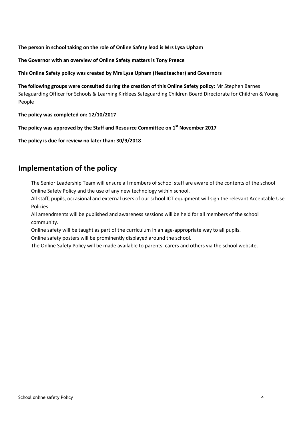**The person in school taking on the role of Online Safety lead is Mrs Lysa Upham** 

**The Governor with an overview of Online Safety matters is Tony Preece**

**This Online Safety policy was created by Mrs Lysa Upham (Headteacher) and Governors** 

**The following groups were consulted during the creation of this Online Safety policy:** Mr Stephen Barnes Safeguarding Officer for Schools & Learning Kirklees Safeguarding Children Board Directorate for Children & Young People

**The policy was completed on: 12/10/2017**

**The policy was approved by the Staff and Resource Committee on 1 st November 2017**

**The policy is due for review no later than: 30/9/2018**

#### **Implementation of the policy**

The Senior Leadership Team will ensure all members of school staff are aware of the contents of the school Online Safety Policy and the use of any new technology within school.

All staff, pupils, occasional and external users of our school ICT equipment will sign the relevant Acceptable Use Policies

All amendments will be published and awareness sessions will be held for all members of the school community.

Online safety will be taught as part of the curriculum in an age-appropriate way to all pupils. Online safety posters will be prominently displayed around the school.

The Online Safety Policy will be made available to parents, carers and others via the school website.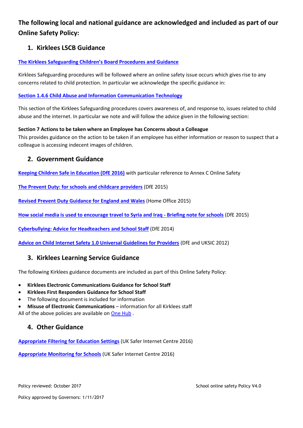#### **The following local and national guidance are acknowledged and included as part of our Online Safety Policy:**

#### **1. Kirklees LSCB Guidance**

#### **[The Kirklees Safeguarding Children's Board Procedures and Guidance](http://www.kirkleessafeguardingchildren.co.uk/procedures-guidance.html)**

Kirklees Safeguarding procedures will be followed where an online safety issue occurs which gives rise to any concerns related to child protection. In particular we acknowledge the specific guidance in:

#### **[Section 1.4.6 Child Abuse and Information Communication Technology](http://westyorkscb.proceduresonline.com/chapters/p_ca_information.html)**

This section of the Kirklees Safeguarding procedures covers awareness of, and response to, issues related to child abuse and the internet. In particular we note and will follow the advice given in the following section:

#### **Section 7 Actions to be taken where an Employee has Concerns about a Colleague**

This provides guidance on the action to be taken if an employee has either information or reason to suspect that a colleague is accessing indecent images of children.

#### **2. Government Guidance**

**[Keeping Children Safe in Education \(DfE 2016\)](https://www.gov.uk/government/uploads/system/uploads/attachment_data/file/526153/Keeping_children_safe_in_education_guidance_from_5_September_2)** with particular reference to Annex C Online Safety

**[The Prevent Duty: for schools and childcare providers](https://www.gov.uk/government/publications/protecting-children-from-radicalisation-the-prevent-duty)** (DfE 2015)

**[Revised Prevent Duty Guidance for](https://www.gov.uk/government/publications/prevent-duty-guidance) England and Wales** (Home Office 2015)

**[How social media is used to encourage travel to Syria and Iraq -](https://www.gov.uk/government/publications/the-use-of-social-media-for-online-radicalisation) Briefing note for schools** (DfE 2015)

**[Cyberbullying: Advice for Headteachers and School Staff](https://www.gov.uk/government/uploads/system/uploads/attachment_data/file/374850/Cyberbullying_Advice_for_Headteachers_and_School_Staff_121114.pdf)** (DfE 2014)

**[Advice on Child Internet Safety 1.0 Universal Guidelines for Providers](https://www.gov.uk/government/uploads/system/uploads/attachment_data/file/177099/DFE-00004-2012.pdf)** (DfE and UKSIC 2012)

#### **3. [Kirklees Learning Service Guidance](http://www2.kirklees.gov.uk/childrenandfamilies/teachersAndGovernors/curriculum/eSafety/policyGuidance.shtml)**

The following Kirklees guidance documents are included as part of this Online Safety Policy:

- **Kirklees Electronic Communications Guidance for School Staff**
- **Kirklees First Responders Guidance for School Staff**
- The following document is included for information
- **Misuse of Electronic Communications** information for all Kirklees staff All of the above policies are available on [One Hub](https://ws.onehub.com/workspaces/392105/folders/291680995).

#### **4. Other Guidance**

**[Appropriate Filtering for Education Settings](http://www.saferinternet.org.uk/advice-and-resources/teachers-and-professionals/appropriate-filtering-and-monitoring)** (UK Safer Internet Centre 2016)

**[Appropriate Monitoring for Schools](http://www.saferinternet.org.uk/advice-and-resources/teachers-and-professionals/appropriate-filtering-and-monitoring)** (UK Safer Internet Centre 2016)

Policy reviewed: October 2017 **School online safety Policy V4.0** School online safety Policy V4.0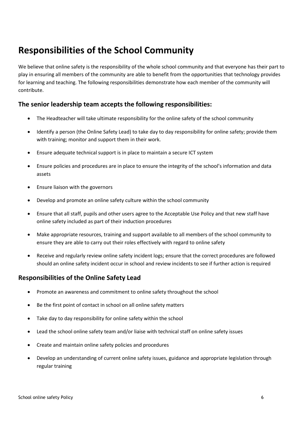### **Responsibilities of the School Community**

We believe that online safety is the responsibility of the whole school community and that everyone has their part to play in ensuring all members of the community are able to benefit from the opportunities that technology provides for learning and teaching. The following responsibilities demonstrate how each member of the community will contribute.

#### **The senior leadership team accepts the following responsibilities:**

- The Headteacher will take ultimate responsibility for the online safety of the school community
- Identify a person (the Online Safety Lead) to take day to day responsibility for online safety; provide them with training; monitor and support them in their work.
- Ensure adequate technical support is in place to maintain a secure ICT system
- Ensure policies and procedures are in place to ensure the integrity of the school's information and data assets
- Ensure liaison with the governors
- Develop and promote an online safety culture within the school community
- Ensure that all staff, pupils and other users agree to the Acceptable Use Policy and that new staff have online safety included as part of their induction procedures
- Make appropriate resources, training and support available to all members of the school community to ensure they are able to carry out their roles effectively with regard to online safety
- Receive and regularly review online safety incident logs; ensure that the correct procedures are followed should an online safety incident occur in school and review incidents to see if further action is required

#### **Responsibilities of the Online Safety Lead**

- Promote an awareness and commitment to online safety throughout the school
- Be the first point of contact in school on all online safety matters
- Take day to day responsibility for online safety within the school
- Lead the school online safety team and/or liaise with technical staff on online safety issues
- Create and maintain online safety policies and procedures
- Develop an understanding of current online safety issues, guidance and appropriate legislation through regular training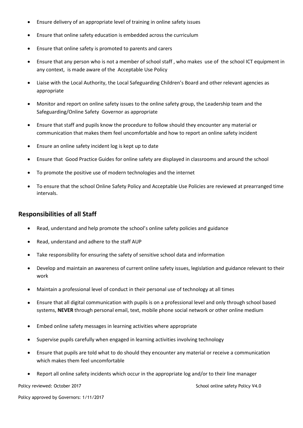- Ensure delivery of an appropriate level of training in online safety issues
- Ensure that online safety education is embedded across the curriculum
- Ensure that online safety is promoted to parents and carers
- Ensure that any person who is not a member of school staff , who makes use of the school ICT equipment in any context, is made aware of the Acceptable Use Policy
- Liaise with the Local Authority, the Local Safeguarding Children's Board and other relevant agencies as appropriate
- Monitor and report on online safety issues to the online safety group, the Leadership team and the Safeguarding/Online Safety Governor as appropriate
- Ensure that staff and pupils know the procedure to follow should they encounter any material or communication that makes them feel uncomfortable and how to report an online safety incident
- Ensure an online safety incident log is kept up to date
- Ensure that Good Practice Guides for online safety are displayed in classrooms and around the school
- To promote the positive use of modern technologies and the internet
- To ensure that the school Online Safety Policy and Acceptable Use Policies are reviewed at prearranged time intervals.

#### **Responsibilities of all Staff**

- Read, understand and help promote the school's online safety policies and guidance
- Read, understand and adhere to the staff AUP
- Take responsibility for ensuring the safety of sensitive school data and information
- Develop and maintain an awareness of current online safety issues, legislation and guidance relevant to their work
- Maintain a professional level of conduct in their personal use of technology at all times
- Ensure that all digital communication with pupils is on a professional level and only through school based systems, **NEVER** through personal email, text, mobile phone social network or other online medium
- Embed online safety messages in learning activities where appropriate
- Supervise pupils carefully when engaged in learning activities involving technology
- Ensure that pupils are told what to do should they encounter any material or receive a communication which makes them feel uncomfortable
- Report all online safety incidents which occur in the appropriate log and/or to their line manager

Policy reviewed: October 2017 **School online safety Policy V4.0** School online safety Policy V4.0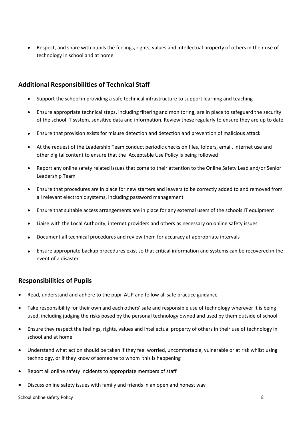Respect, and share with pupils the feelings, rights, values and intellectual property of others in their use of technology in school and at home

#### **Additional Responsibilities of Technical Staff**

- Support the school in providing a safe technical infrastructure to support learning and teaching
- Ensure appropriate technical steps, including filtering and monitoring, are in place to safeguard the security of the school IT system, sensitive data and information. Review these regularly to ensure they are up to date
- Ensure that provision exists for misuse detection and detection and prevention of malicious attack
- At the request of the Leadership Team conduct periodic checks on files, folders, email, internet use and other digital content to ensure that the Acceptable Use Policy is being followed
- Report any online safety related issues that come to their attention to the Online Safety Lead and/or Senior Leadership Team
- Ensure that procedures are in place for new starters and leavers to be correctly added to and removed from all relevant electronic systems, including password management
- Ensure that suitable access arrangements are in place for any external users of the schools IT equipment
- Liaise with the Local Authority, internet providers and others as necessary on online safety issues
- Document all technical procedures and review them for accuracy at appropriate intervals
- Ensure appropriate backup procedures exist so that critical information and systems can be recovered in the event of a disaster

#### **Responsibilities of Pupils**

- Read, understand and adhere to the pupil AUP and follow all safe practice guidance
- Take responsibility for their own and each others' safe and responsible use of technology wherever it is being used, including judging the risks posed by the personal technology owned and used by them outside of school
- Ensure they respect the feelings, rights, values and intellectual property of others in their use of technology in school and at home
- Understand what action should be taken if they feel worried, uncomfortable, vulnerable or at risk whilst using technology, or if they know of someone to whom this is happening
- Report all online safety incidents to appropriate members of staff
- Discuss online safety issues with family and friends in an open and honest way

School online safety Policy 8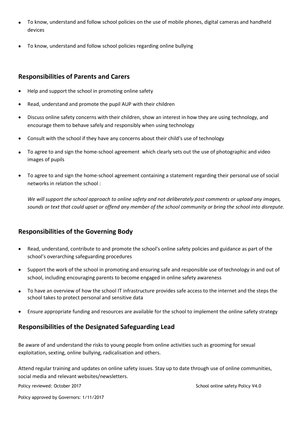- To know, understand and follow school policies on the use of mobile phones, digital cameras and handheld devices
- To know, understand and follow school policies regarding online bullying

#### **Responsibilities of Parents and Carers**

- Help and support the school in promoting online safety
- Read, understand and promote the pupil AUP with their children
- Discuss online safety concerns with their children, show an interest in how they are using technology, and encourage them to behave safely and responsibly when using technology
- Consult with the school if they have any concerns about their child's use of technology
- To agree to and sign the home-school agreement which clearly sets out the use of photographic and video images of pupils
- To agree to and sign the home-school agreement containing a statement regarding their personal use of social networks in relation the school :

*We will support the school approach to online safety and not deliberately post comments or upload any images, sounds or text that could upset or offend any member of the school community or bring the school into disrepute.* 

#### **Responsibilities of the Governing Body**

- Read, understand, contribute to and promote the school's online safety policies and guidance as part of the school's overarching safeguarding procedures
- Support the work of the school in promoting and ensuring safe and responsible use of technology in and out of school, including encouraging parents to become engaged in online safety awareness
- To have an overview of how the school IT infrastructure provides safe access to the internet and the steps the school takes to protect personal and sensitive data
- Ensure appropriate funding and resources are available for the school to implement the online safety strategy

#### **Responsibilities of the Designated Safeguarding Lead**

Be aware of and understand the risks to young people from online activities such as grooming for sexual exploitation, sexting, online bullying, radicalisation and others.

Attend regular training and updates on online safety issues. Stay up to date through use of online communities, social media and relevant websites/newsletters.

Policy reviewed: October 2017 **School online safety Policy V4.0** School online safety Policy V4.0

Policy approved by Governors: 1/11/2017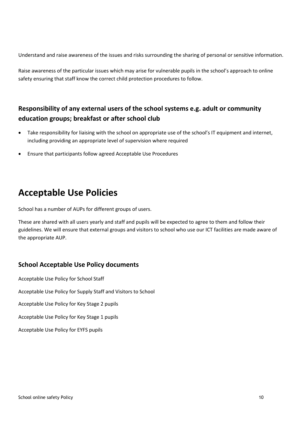Understand and raise awareness of the issues and risks surrounding the sharing of personal or sensitive information.

Raise awareness of the particular issues which may arise for vulnerable pupils in the school's approach to online safety ensuring that staff know the correct child protection procedures to follow.

#### **Responsibility of any external users of the school systems e.g. adult or community education groups; breakfast or after school club**

- Take responsibility for liaising with the school on appropriate use of the school's IT equipment and internet, including providing an appropriate level of supervision where required
- Ensure that participants follow agreed Acceptable Use Procedures

### **Acceptable Use Policies**

School has a number of AUPs for different groups of users.

These are shared with all users yearly and staff and pupils will be expected to agree to them and follow their guidelines. We will ensure that external groups and visitors to school who use our ICT facilities are made aware of the appropriate AUP.

#### **School Acceptable Use Policy documents**

Acceptable Use Policy for School Staff Acceptable Use Policy for Supply Staff and Visitors to School Acceptable Use Policy for Key Stage 2 pupils Acceptable Use Policy for Key Stage 1 pupils Acceptable Use Policy for EYFS pupils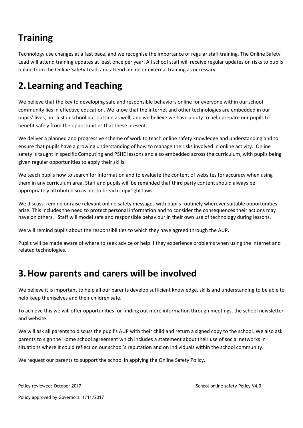### **Training**

Technology use changes at a fast pace, and we recognise the importance of regular staff training. The Online Safety Lead will attend training updates at least once per year. All school staff will receive regular updates on risks to pupils online from the Online Safety Lead, and attend online or external training as necessary.

### **2. Learning and Teaching**

We believe that the key to developing safe and responsible behaviors online for everyone within our school community lies in effective education. We know that the internet and other technologies are embedded in our pupils' lives, not just in school but outside as well, and we believe we have a duty to help prepare our pupils to benefit safely from the opportunities that these present.

We deliver a planned and progressive scheme of work to teach online safety knowledge and understanding and to ensure that pupils have a growing understanding of how to manage the risks involved in online activity. Online safety is taught in specific Computing and PSHE lessons and also embedded across the curriculum, with pupils being given regular opportunities to apply their skills.

We teach pupils how to search for information and to evaluate the content of websites for accuracy when using them in any curriculum area. Staff and pupils will be reminded that third party content should always be appropriately attributed so as not to breach copyright laws.

We discuss, remind or raise relevant online safety messages with pupils routinely wherever suitable opportunities arise. This includes the need to protect personal information and to consider the consequences their actions may have on others. Staff will model safe and responsible behaviour in their own use of technology during lessons.

We will remind pupils about the responsibilities to which they have agreed through the AUP.

Pupils will be made aware of where to seek advice or help if they experience problems when using the internet and related technologies.

### **3.How parents and carers will be involved**

We believe it is important to help all our parents develop sufficient knowledge, skills and understanding to be able to help keep themselves and their children safe.

To achieve this we will offer opportunities for finding out more information through meetings, the school newsletter and website.

We will ask all parents to discuss the pupil's AUP with their child and return a signed copy to the school. We also ask parents to sign the Home school agreement which includes a statement about their use of social networks in situations where it could reflect on our school's reputation and on individuals within the school community.

We request our parents to support the school in applying the Online Safety Policy.

Policy reviewed: October 2017 **School online safety Policy V4.0** School online safety Policy V4.0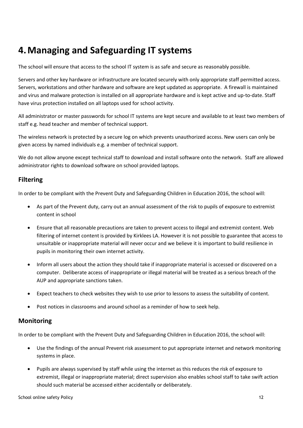### **4.Managing and Safeguarding IT systems**

The school will ensure that access to the school IT system is as safe and secure as reasonably possible.

Servers and other key hardware or infrastructure are located securely with only appropriate staff permitted access. Servers, workstations and other hardware and software are kept updated as appropriate. A firewall is maintained and virus and malware protection is installed on all appropriate hardware and is kept active and up-to-date. Staff have virus protection installed on all laptops used for school activity.

All administrator or master passwords for school IT systems are kept secure and available to at least two members of staff e.g. head teacher and member of technical support.

The wireless network is protected by a secure log on which prevents unauthorized access. New users can only be given access by named individuals e.g. a member of technical support.

We do not allow anyone except technical staff to download and install software onto the network. Staff are allowed administrator rights to download software on school provided laptops.

#### **Filtering**

In order to be compliant with the Prevent Duty and Safeguarding Children in Education 2016, the school will:

- As part of the Prevent duty, carry out an annual assessment of the risk to pupils of exposure to extremist content in school
- Ensure that all reasonable precautions are taken to prevent access to illegal and extremist content. Web filtering of internet content is provided by Kirklees LA. However it is not possible to guarantee that access to unsuitable or inappropriate material will never occur and we believe it is important to build resilience in pupils in monitoring their own internet activity.
- Inform all users about the action they should take if inappropriate material is accessed or discovered on a computer. Deliberate access of inappropriate or illegal material will be treated as a serious breach of the AUP and appropriate sanctions taken.
- Expect teachers to check websites they wish to use prior to lessons to assess the suitability of content.
- Post notices in classrooms and around school as a reminder of how to seek help.

#### **Monitoring**

In order to be compliant with the Prevent Duty and Safeguarding Children in Education 2016, the school will:

- Use the findings of the annual Prevent risk assessment to put appropriate internet and network monitoring systems in place.
- Pupils are always supervised by staff while using the internet as this reduces the risk of exposure to extremist, illegal or inappropriate material; direct supervision also enables school staff to take swift action should such material be accessed either accidentally or deliberately.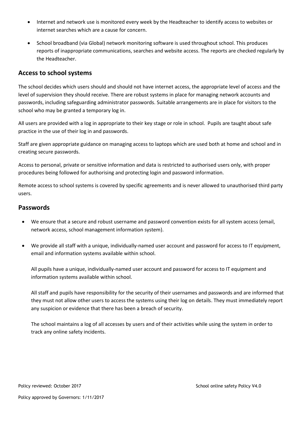- Internet and network use is monitored every week by the Headteacher to identify access to websites or internet searches which are a cause for concern.
- School broadband (via Global) network monitoring software is used throughout school. This produces reports of inappropriate communications, searches and website access. The reports are checked regularly by the Headteacher.

#### **Access to school systems**

The school decides which users should and should not have internet access, the appropriate level of access and the level of supervision they should receive. There are robust systems in place for managing network accounts and passwords, including safeguarding administrator passwords. Suitable arrangements are in place for visitors to the school who may be granted a temporary log in.

All users are provided with a log in appropriate to their key stage or role in school. Pupils are taught about safe practice in the use of their log in and passwords.

Staff are given appropriate guidance on managing access to laptops which are used both at home and school and in creating secure passwords.

Access to personal, private or sensitive information and data is restricted to authorised users only, with proper procedures being followed for authorising and protecting login and password information.

Remote access to school systems is covered by specific agreements and is never allowed to unauthorised third party users.

#### **Passwords**

- We ensure that a secure and robust username and password convention exists for all system access (email, network access, school management information system).
- We provide all staff with a unique, individually-named user account and password for access to IT equipment, email and information systems available within school.

All pupils have a unique, individually-named user account and password for access to IT equipment and information systems available within school.

All staff and pupils have responsibility for the security of their usernames and passwords and are informed that they must not allow other users to access the systems using their log on details. They must immediately report any suspicion or evidence that there has been a breach of security.

The school maintains a log of all accesses by users and of their activities while using the system in order to track any online safety incidents.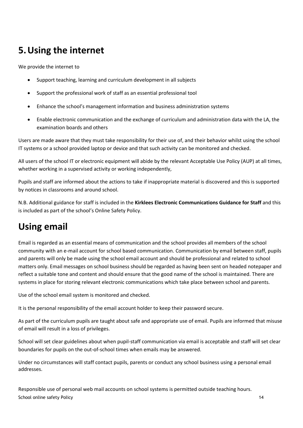### **5.Using the internet**

We provide the internet to

- Support teaching, learning and curriculum development in all subjects
- Support the professional work of staff as an essential professional tool
- Enhance the school's management information and business administration systems
- Enable electronic communication and the exchange of curriculum and administration data with the LA, the examination boards and others

Users are made aware that they must take responsibility for their use of, and their behavior whilst using the school IT systems or a school provided laptop or device and that such activity can be monitored and checked.

All users of the school IT or electronic equipment will abide by the relevant Acceptable Use Policy (AUP) at all times, whether working in a supervised activity or working independently,

Pupils and staff are informed about the actions to take if inappropriate material is discovered and this is supported by notices in classrooms and around school.

N.B. Additional guidance for staff is included in the **Kirklees Electronic Communications Guidance for Staff** and this is included as part of the school's Online Safety Policy.

### **Using email**

Email is regarded as an essential means of communication and the school provides all members of the school community with an e-mail account for school based communication. Communication by email between staff, pupils and parents will only be made using the school email account and should be professional and related to school matters only. Email messages on school business should be regarded as having been sent on headed notepaper and reflect a suitable tone and content and should ensure that the good name of the school is maintained. There are systems in place for storing relevant electronic communications which take place between school and parents.

Use of the school email system is monitored and checked.

It is the personal responsibility of the email account holder to keep their password secure.

As part of the curriculum pupils are taught about safe and appropriate use of email. Pupils are informed that misuse of email will result in a loss of privileges.

School will set clear guidelines about when pupil-staff communication via email is acceptable and staff will set clear boundaries for pupils on the out-of-school times when emails may be answered.

Under no circumstances will staff contact pupils, parents or conduct any school business using a personal email addresses.

School online safety Policy 14 Responsible use of personal web mail accounts on school systems is permitted outside teaching hours.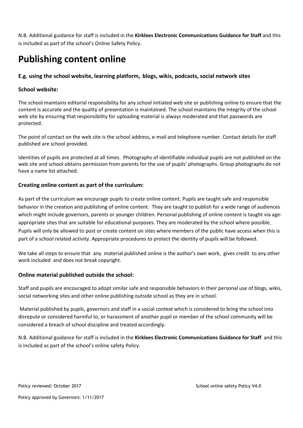N.B. Additional guidance for staff is included in the **Kirklees Electronic Communications Guidance for Staff** and this is included as part of the school's Online Safety Policy.

### **Publishing content online**

#### **E.g. using the school website, learning platform, blogs, wikis, podcasts, social network sites**

#### **School website:**

The school maintains editorial responsibility for any school initiated web site or publishing online to ensure that the content is accurate and the quality of presentation is maintained. The school maintains the integrity of the school web site by ensuring that responsibility for uploading material is always moderated and that passwords are protected.

The point of contact on the web site is the school address, e-mail and telephone number. Contact details for staff published are school provided.

Identities of pupils are protected at all times. Photographs of identifiable individual pupils are not published on the web site and school obtains permission from parents for the use of pupils' photographs. Group photographs do not have a name list attached.

#### **Creating online content as part of the curriculum:**

As part of the curriculum we encourage pupils to create online content. Pupils are taught safe and responsible behavior in the creation and publishing of online content. They are taught to publish for a wide range of audiences which might include governors, parents or younger children. Personal publishing of online content is taught via ageappropriate sites that are suitable for educational purposes. They are moderated by the school where possible. Pupils will only be allowed to post or create content on sites where members of the public have access when this is part of a school related activity. Appropriate procedures to protect the identity of pupils will be followed.

We take all steps to ensure that any material published online is the author's own work, gives credit to any other work included and does not break copyright.

#### **Online material published outside the school:**

Staff and pupils are encouraged to adopt similar safe and responsible behaviors in their personal use of blogs, wikis, social networking sites and other online publishing outside school as they are in school.

Material published by pupils, governors and staff in a social context which is considered to bring the school into disrepute or considered harmful to, or harassment of another pupil or member of the school community will be considered a breach of school discipline and treated accordingly.

N.B. Additional guidance for staff is included in the **Kirklees Electronic Communications Guidance for Staff** and this is included as part of the school's online safety Policy.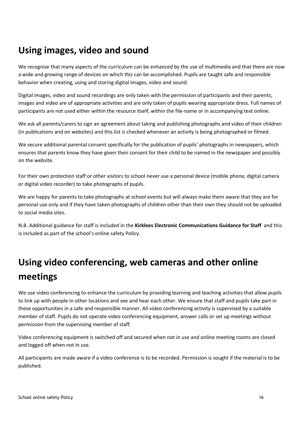### **Using images, video and sound**

We recognise that many aspects of the curriculum can be enhanced by the use of multimedia and that there are now a wide and growing range of devices on which this can be accomplished. Pupils are taught safe and responsible behavior when creating, using and storing digital images, video and sound.

Digital images, video and sound recordings are only taken with the permission of participants and their parents; images and video are of appropriate activities and are only taken of pupils wearing appropriate dress. Full names of participants are not used either within the resource itself, within the file-name or in accompanying text online.

We ask all parents/carers to sign an agreement about taking and publishing photographs and video of their children (in publications and on websites) and this list is checked whenever an activity is being photographed or filmed.

We secure additional parental consent specifically for the publication of pupils' photographs in newspapers, which ensures that parents know they have given their consent for their child to be named in the newspaper and possibly on the website.

For their own protection staff or other visitors to school never use a personal device (mobile phone, digital camera or digital video recorder) to take photographs of pupils.

We are happy for parents to take photographs at school events but will always make them aware that they are for personal use only and if they have taken photographs of children other than their own they should not be uploaded to social media sites.

N.B. Additional guidance for staff is included in the **Kirklees Electronic Communications Guidance for Staff** and this is included as part of the school's online safety Policy.

### **Using video conferencing, web cameras and other online meetings**

We use video conferencing to enhance the curriculum by providing learning and teaching activities that allow pupils to link up with people in other locations and see and hear each other. We ensure that staff and pupils take part in these opportunities in a safe and responsible manner. All video conferencing activity is supervised by a suitable member of staff. Pupils do not operate video conferencing equipment, answer calls or set up meetings without permission from the supervising member of staff.

Video conferencing equipment is switched off and secured when not in use and online meeting rooms are closed and logged off when not in use.

All participants are made aware if a video conference is to be recorded. Permission is sought if the material is to be published.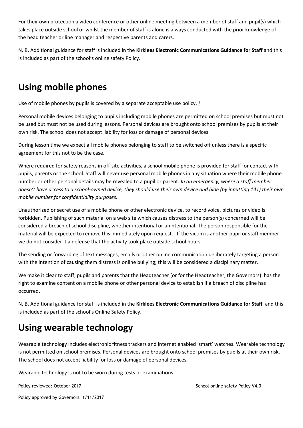For their own protection a video conference or other online meeting between a member of staff and pupil(s) which takes place outside school or whilst the member of staff is alone is always conducted with the prior knowledge of the head teacher or line manager and respective parents and carers.

N. B. Additional guidance for staff is included in the **Kirklees Electronic Communications Guidance for Staff** and this is included as part of the school's online safety Policy.

### **Using mobile phones**

Use of mobile phones by pupils is covered by a separate acceptable use policy. *]*

Personal mobile devices belonging to pupils including mobile phones are permitted on school premises but must not be used but must not be used during lessons. Personal devices are brought onto school premises by pupils at their own risk. The school does not accept liability for loss or damage of personal devices.

During lesson time we expect all mobile phones belonging to staff to be switched off unless there is a specific agreement for this not to be the case.

Where required for safety reasons in off-site activities, a school mobile phone is provided for staff for contact with pupils, parents or the school. Staff will never use personal mobile phones in any situation where their mobile phone number or other personal details may be revealed to a pupil or parent. *In an emergency, where a staff member doesn't have access to a school-owned device, they should use their own device and hide (by inputting 141) their own mobile number for confidentiality purposes.*

Unauthorized or secret use of a mobile phone or other electronic device, to record voice, pictures or video is forbidden. Publishing of such material on a web site which causes distress to the person(s) concerned will be considered a breach of school discipline, whether intentional or unintentional. The person responsible for the material will be expected to remove this immediately upon request. If the victim is another pupil or staff member we do not consider it a defense that the activity took place outside school hours.

The sending or forwarding of text messages, emails or other online communication deliberately targeting a person with the intention of causing them distress is online bullying; this will be considered a disciplinary matter.

We make it clear to staff, pupils and parents that the Headteacher (or for the Headteacher, the Governors) has the right to examine content on a mobile phone or other personal device to establish if a breach of discipline has occurred.

N. B. Additional guidance for staff is included in the **Kirklees Electronic Communications Guidance for Staff** and this is included as part of the school's Online Safety Policy.

### **Using wearable technology**

Wearable technology includes electronic fitness trackers and internet enabled 'smart' watches. Wearable technology is not permitted on school premises. Personal devices are brought onto school premises by pupils at their own risk. The school does not accept liability for loss or damage of personal devices.

Wearable technology is not to be worn during tests or examinations.

Policy reviewed: October 2017 **School online safety Policy V4.0** School online safety Policy V4.0

Policy approved by Governors: 1/11/2017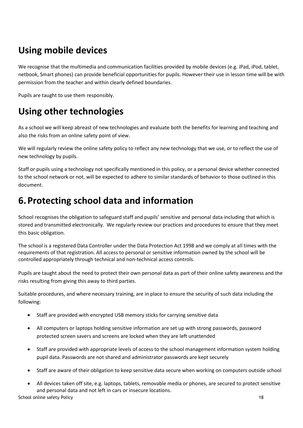### **Using mobile devices**

We recognise that the multimedia and communication facilities provided by mobile devices (e.g. iPad, iPod, tablet, netbook, Smart phones) can provide beneficial opportunities for pupils. However their use in lesson time will be with permission from the teacher and within clearly defined boundaries.

Pupils are taught to use them responsibly.

### **Using other technologies**

As a school we will keep abreast of new technologies and evaluate both the benefits for learning and teaching and also the risks from an online safety point of view.

We will regularly review the online safety policy to reflect any new technology that we use, or to reflect the use of new technology by pupils.

Staff or pupils using a technology not specifically mentioned in this policy, or a personal device whether connected to the school network or not, will be expected to adhere to similar standards of behavior to those outlined in this document.

### **6.Protecting school data and information**

School recognises the obligation to safeguard staff and pupils' sensitive and personal data including that which is stored and transmitted electronically. We regularly review our practices and procedures to ensure that they meet this basic obligation.

The school is a registered Data Controller under the Data Protection Act 1998 and we comply at all times with the requirements of that registration. All access to personal or sensitive information owned by the school will be controlled appropriately through technical and non-technical access controls.

Pupils are taught about the need to protect their own personal data as part of their online safety awareness and the risks resulting from giving this away to third parties.

Suitable procedures, and where necessary training, are in place to ensure the security of such data including the following:

- Staff are provided with encrypted USB memory sticks for carrying sensitive data
- All computers or laptops holding sensitive information are set up with strong passwords, password protected screen savers and screens are locked when they are left unattended
- Staff are provided with appropriate levels of access to the school management information system holding pupil data. Passwords are not shared and administrator passwords are kept securely
- Staff are aware of their obligation to keep sensitive data secure when working on computers outside school
- School online safety Policy 18 All devices taken off site, e.g. laptops, tablets, removable media or phones, are secured to protect sensitive and personal data and not left in cars or insecure locations.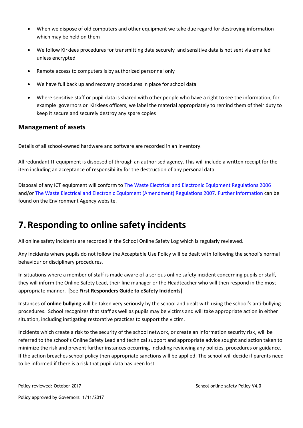- When we dispose of old computers and other equipment we take due regard for destroying information which may be held on them
- We follow Kirklees procedures for transmitting data securely and sensitive data is not sent via emailed unless encrypted
- Remote access to computers is by authorized personnel only
- We have full back up and recovery procedures in place for school data
- Where sensitive staff or pupil data is shared with other people who have a right to see the information, for example governors or Kirklees officers, we label the material appropriately to remind them of their duty to keep it secure and securely destroy any spare copies

#### **Management of assets**

Details of all school-owned hardware and software are recorded in an inventory.

All redundant IT equipment is disposed of through an authorised agency. This will include a written receipt for the item including an acceptance of responsibility for the destruction of any personal data.

Disposal of any ICT equipment will conform to [The Waste Electrical and Electronic Equipment Regulations 2006](http://www.legislation.gov.uk/uksi/2006/3289/pdfs/uksi_20063289_en.pdf) and/or [The Waste Electrical and Electronic Equipment \(Amendment\) Regulations 2007.](http://www.legislation.gov.uk/uksi/2007/3454/pdfs/uksi_20073454_en.pdf) [Further information](http://www.environment-agency.gov.uk/business/topics/waste/32084.aspx) can be found on the Environment Agency website.

### **7.Responding to online safety incidents**

All online safety incidents are recorded in the School Online Safety Log which is regularly reviewed.

Any incidents where pupils do not follow the Acceptable Use Policy will be dealt with following the school's normal behaviour or disciplinary procedures.

In situations where a member of staff is made aware of a serious online safety incident concerning pupils or staff, they will inform the Online Safety Lead, their line manager or the Headteacher who will then respond in the most appropriate manner. [See **First Responders Guide to eSafety Incidents]**

Instances of **online bullying** will be taken very seriously by the school and dealt with using the school's anti-bullying procedures. School recognizes that staff as well as pupils may be victims and will take appropriate action in either situation, including instigating restorative practices to support the victim.

Incidents which create a risk to the security of the school network, or create an information security risk, will be referred to the school's Online Safety Lead and technical support and appropriate advice sought and action taken to minimize the risk and prevent further instances occurring, including reviewing any policies, procedures or guidance. If the action breaches school policy then appropriate sanctions will be applied. The school will decide if parents need to be informed if there is a risk that pupil data has been lost.

Policy reviewed: October 2017 **School online safety Policy V4.0** School online safety Policy V4.0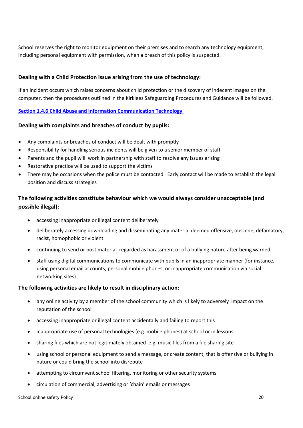School reserves the right to monitor equipment on their premises and to search any technology equipment, including personal equipment with permission, when a breach of this policy is suspected.

#### **Dealing with a Child Protection issue arising from the use of technology:**

If an incident occurs which raises concerns about child protection or the discovery of indecent images on the computer, then the procedures outlined in the Kirklees Safeguarding Procedures and Guidance will be followed.

**Section 1.4.6 [Child Abuse and Information Communication Technology](http://www.proceduresonline.com/westyorkscb/chapters/p_ca_information.html#_refstrat)** 

#### **Dealing with complaints and breaches of conduct by pupils:**

- Any complaints or breaches of conduct will be dealt with promptly
- Responsibility for handling serious incidents will be given to a senior member of staff
- Parents and the pupil will work in partnership with staff to resolve any issues arising
- Restorative practice will be used to support the victims
- There may be occasions when the police must be contacted. Early contact will be made to establish the legal position and discuss strategies

#### **The following activities constitute behaviour which we would always consider unacceptable (and possible illegal):**

- accessing inappropriate or illegal content deliberately
- deliberately accessing downloading and disseminating any material deemed offensive, obscene, defamatory, racist, homophobic or violent
- continuing to send or post material regarded as harassment or of a bullying nature after being warned
- staff using digital communications to communicate with pupils in an inappropriate manner (for instance, using personal email accounts, personal mobile phones, or inappropriate communication via social networking sites)

#### **The following activities are likely to result in disciplinary action:**

- any online activity by a member of the school community which is likely to adversely impact on the reputation of the school
- accessing inappropriate or illegal content accidentally and failing to report this
- inappropriate use of personal technologies (e.g. mobile phones) at school or in lessons
- sharing files which are not legitimately obtained e.g. music files from a file sharing site
- using school or personal equipment to send a message, or create content, that is offensive or bullying in nature or could bring the school into disrepute
- attempting to circumvent school filtering, monitoring or other security systems
- circulation of commercial, advertising or 'chain' emails or messages